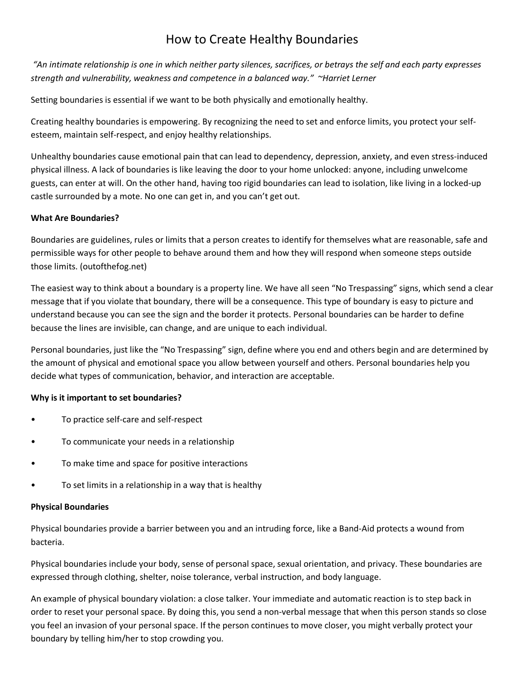# How to Create Healthy Boundaries

*"An intimate relationship is one in which neither party silences, sacrifices, or betrays the self and each party expresses strength and vulnerability, weakness and competence in a balanced way." ~Harriet Lerner*

Setting boundaries is essential if we want to be both physically and emotionally healthy.

Creating healthy boundaries is empowering. By recognizing the need to set and enforce limits, you protect your selfesteem, maintain self-respect, and enjoy healthy relationships.

Unhealthy boundaries cause emotional pain that can lead to dependency, depression, anxiety, and even stress-induced physical illness. A lack of boundaries is like leaving the door to your home unlocked: anyone, including unwelcome guests, can enter at will. On the other hand, having too rigid boundaries can lead to isolation, like living in a locked-up castle surrounded by a mote. No one can get in, and you can't get out.

## **What Are Boundaries?**

Boundaries are guidelines, rules or limits that a person creates to identify for themselves what are reasonable, safe and permissible ways for other people to behave around them and how they will respond when someone steps outside those limits. (outofthefog.net)

The easiest way to think about a boundary is a property line. We have all seen "No Trespassing" signs, which send a clear message that if you violate that boundary, there will be a consequence. This type of boundary is easy to picture and understand because you can see the sign and the border it protects. Personal boundaries can be harder to define because the lines are invisible, can change, and are unique to each individual.

Personal boundaries, just like the "No Trespassing" sign, define where you end and others begin and are determined by the amount of physical and emotional space you allow between yourself and others. Personal boundaries help you decide what types of communication, behavior, and interaction are acceptable.

## **Why is it important to set boundaries?**

- To practice self-care and self-respect
- To communicate your needs in a relationship
- To make time and space for positive interactions
- To set limits in a relationship in a way that is healthy

### **Physical Boundaries**

Physical boundaries provide a barrier between you and an intruding force, like a Band-Aid protects a wound from bacteria.

Physical boundaries include your body, sense of personal space, sexual orientation, and privacy. These boundaries are expressed through clothing, shelter, noise tolerance, verbal instruction, and body language.

An example of physical boundary violation: a close talker. Your immediate and automatic reaction is to step back in order to reset your personal space. By doing this, you send a non-verbal message that when this person stands so close you feel an invasion of your personal space. If the person continues to move closer, you might verbally protect your boundary by telling him/her to stop crowding you.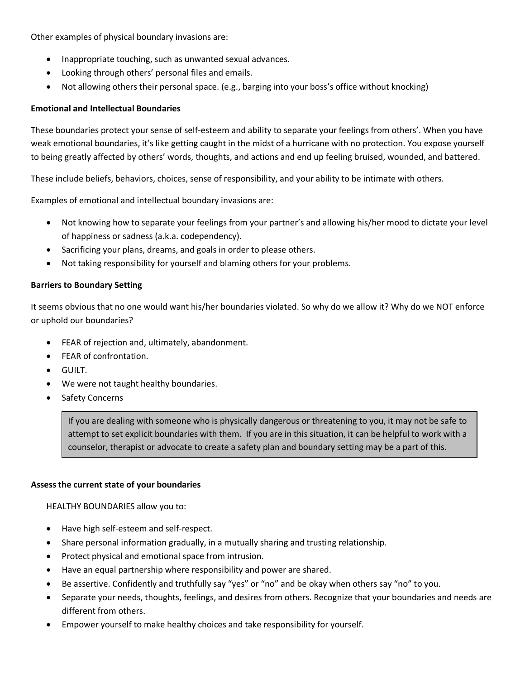Other examples of physical boundary invasions are:

- Inappropriate touching, such as unwanted sexual advances.
- Looking through others' personal files and emails.
- Not allowing others their personal space. (e.g., barging into your boss's office without knocking)

### **Emotional and Intellectual Boundaries**

These boundaries protect your sense of self-esteem and ability to separate your feelings from others'. When you have weak emotional boundaries, it's like getting caught in the midst of a hurricane with no protection. You expose yourself to being greatly affected by others' words, thoughts, and actions and end up feeling bruised, wounded, and battered.

These include beliefs, behaviors, choices, sense of responsibility, and your ability to be intimate with others.

Examples of emotional and intellectual boundary invasions are:

- Not knowing how to separate your feelings from your partner's and allowing his/her mood to dictate your level of happiness or sadness (a.k.a. codependency).
- Sacrificing your plans, dreams, and goals in order to please others.
- Not taking responsibility for yourself and blaming others for your problems.

### **Barriers to Boundary Setting**

It seems obvious that no one would want his/her boundaries violated. So why do we allow it? Why do we NOT enforce or uphold our boundaries?

- FEAR of rejection and, ultimately, abandonment.
- FEAR of confrontation.
- GUILT.
- We were not taught healthy boundaries.
- Safety Concerns

If you are dealing with someone who is physically dangerous or threatening to you, it may not be safe to attempt to set explicit boundaries with them. If you are in this situation, it can be helpful to work with a counselor, therapist or advocate to create a safety plan and boundary setting may be a part of this.

#### **Assess the current state of your boundaries**

HEALTHY BOUNDARIES allow you to:

- Have high self-esteem and self-respect.
- Share personal information gradually, in a mutually sharing and trusting relationship.
- Protect physical and emotional space from intrusion.
- Have an equal partnership where responsibility and power are shared.
- Be assertive. Confidently and truthfully say "yes" or "no" and be okay when others say "no" to you.
- Separate your needs, thoughts, feelings, and desires from others. Recognize that your boundaries and needs are different from others.
- Empower yourself to make healthy choices and take responsibility for yourself.